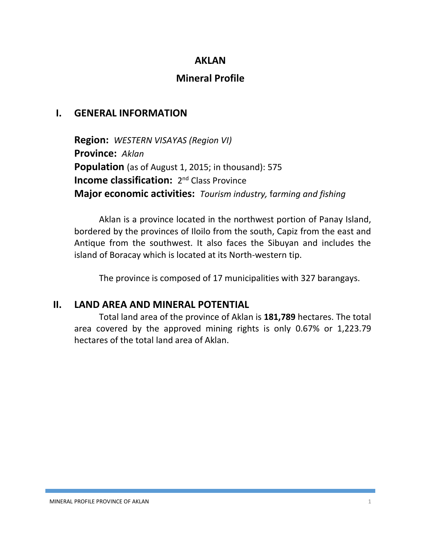## **AKLAN**

# **Mineral Profile**

## **I. GENERAL INFORMATION**

**Region:** *WESTERN VISAYAS (Region VI)* **Province:** *Aklan* **Population** (as of August 1, 2015; in thousand): 575 **Income classification:** 2<sup>nd</sup> Class Province **Major economic activities:** *Tourism industry,* f*arming and fishing*

Aklan is a province located in the northwest portion of Panay Island, bordered by the provinces of Iloilo from the south, Capiz from the east and Antique from the southwest. It also faces the Sibuyan and includes the island of Boracay which is located at its North-western tip.

The province is composed of 17 municipalities with 327 barangays.

### **II. LAND AREA AND MINERAL POTENTIAL**

Total land area of the province of Aklan is **181,789** hectares. The total area covered by the approved mining rights is only 0.67% or 1,223.79 hectares of the total land area of Aklan.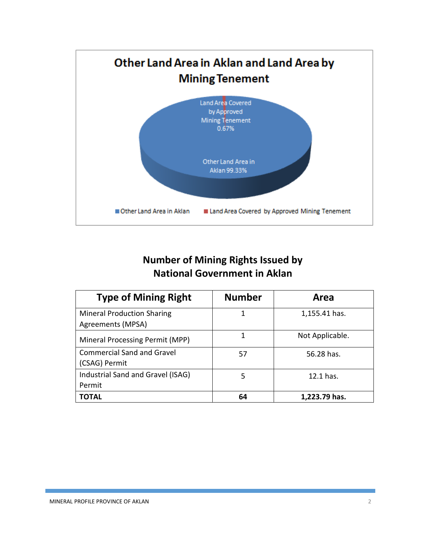

## **Number of Mining Rights Issued by National Government in Aklan**

| <b>Type of Mining Right</b>                            | <b>Number</b> | Area            |
|--------------------------------------------------------|---------------|-----------------|
| <b>Mineral Production Sharing</b><br>Agreements (MPSA) | 1             | 1,155.41 has.   |
| Mineral Processing Permit (MPP)                        | 1             | Not Applicable. |
| <b>Commercial Sand and Gravel</b><br>(CSAG) Permit     | 57            | 56.28 has.      |
| Industrial Sand and Gravel (ISAG)<br>Permit            | 5             | 12.1 has.       |
| <b>TOTAL</b>                                           | 64            | 1,223.79 has.   |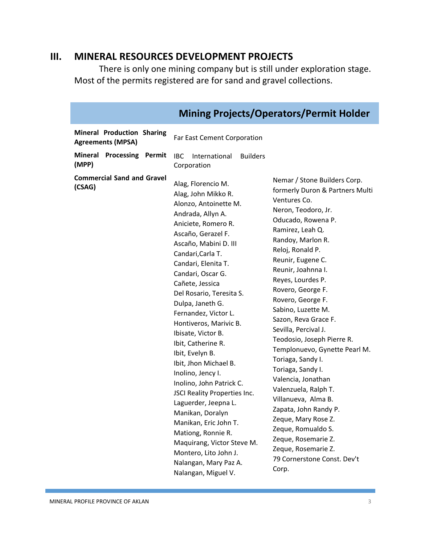## **III. MINERAL RESOURCES DEVELOPMENT PROJECTS**

There is only one mining company but is still under exploration stage. Most of the permits registered are for sand and gravel collections.

| <b>Mining Projects/Operators/Permit Holder</b>                |                                                                                                                                                                                                                                                                                                                                                                                                                                                                                                                                                                                                                                                                                                                                                                                                                                                                                                                                                                                                                                                                                                                                                                                                                                                                                                                                                                                                                                                       |  |  |
|---------------------------------------------------------------|-------------------------------------------------------------------------------------------------------------------------------------------------------------------------------------------------------------------------------------------------------------------------------------------------------------------------------------------------------------------------------------------------------------------------------------------------------------------------------------------------------------------------------------------------------------------------------------------------------------------------------------------------------------------------------------------------------------------------------------------------------------------------------------------------------------------------------------------------------------------------------------------------------------------------------------------------------------------------------------------------------------------------------------------------------------------------------------------------------------------------------------------------------------------------------------------------------------------------------------------------------------------------------------------------------------------------------------------------------------------------------------------------------------------------------------------------------|--|--|
| <b>Mineral Production Sharing</b><br><b>Agreements (MPSA)</b> | Far East Cement Corporation                                                                                                                                                                                                                                                                                                                                                                                                                                                                                                                                                                                                                                                                                                                                                                                                                                                                                                                                                                                                                                                                                                                                                                                                                                                                                                                                                                                                                           |  |  |
| Mineral Processing Permit<br>(MPP)                            | International<br><b>Builders</b><br>IBC.<br>Corporation                                                                                                                                                                                                                                                                                                                                                                                                                                                                                                                                                                                                                                                                                                                                                                                                                                                                                                                                                                                                                                                                                                                                                                                                                                                                                                                                                                                               |  |  |
| <b>Commercial Sand and Gravel</b><br>(CSAG)                   | Nemar / Stone Builders Corp.<br>Alag, Florencio M.<br>formerly Duron & Partners Multi<br>Alag, John Mikko R.<br>Ventures Co.<br>Alonzo, Antoinette M.<br>Neron, Teodoro, Jr.<br>Andrada, Allyn A.<br>Oducado, Rowena P.<br>Aniciete, Romero R.<br>Ramirez, Leah Q.<br>Ascaño, Gerazel F.<br>Randoy, Marlon R.<br>Ascaño, Mabini D. III<br>Reloj, Ronald P.<br>Candari, Carla T.<br>Reunir, Eugene C.<br>Candari, Elenita T.<br>Reunir, Joahnna I.<br>Candari, Oscar G.<br>Reyes, Lourdes P.<br>Cañete, Jessica<br>Rovero, George F.<br>Del Rosario, Teresita S.<br>Rovero, George F.<br>Dulpa, Janeth G.<br>Sabino, Luzette M.<br>Fernandez, Victor L.<br>Sazon, Reva Grace F.<br>Hontiveros, Marivic B.<br>Sevilla, Percival J.<br>Ibisate, Victor B.<br>Teodosio, Joseph Pierre R.<br>Ibit, Catherine R.<br>Templonuevo, Gynette Pearl M.<br>Ibit, Evelyn B.<br>Toriaga, Sandy I.<br>Ibit, Jhon Michael B.<br>Toriaga, Sandy I.<br>Inolino, Jency I.<br>Valencia, Jonathan<br>Inolino, John Patrick C.<br>Valenzuela, Ralph T.<br>JSCI Reality Properties Inc.<br>Villanueva, Alma B.<br>Laguerder, Jeepna L.<br>Zapata, John Randy P.<br>Manikan, Doralyn<br>Zeque, Mary Rose Z.<br>Manikan, Eric John T.<br>Zeque, Romualdo S.<br>Mationg, Ronnie R.<br>Zeque, Rosemarie Z.<br>Maquirang, Victor Steve M.<br>Zeque, Rosemarie Z.<br>Montero, Lito John J.<br>79 Cornerstone Const. Dev't<br>Nalangan, Mary Paz A.<br>Corp.<br>Nalangan, Miguel V. |  |  |